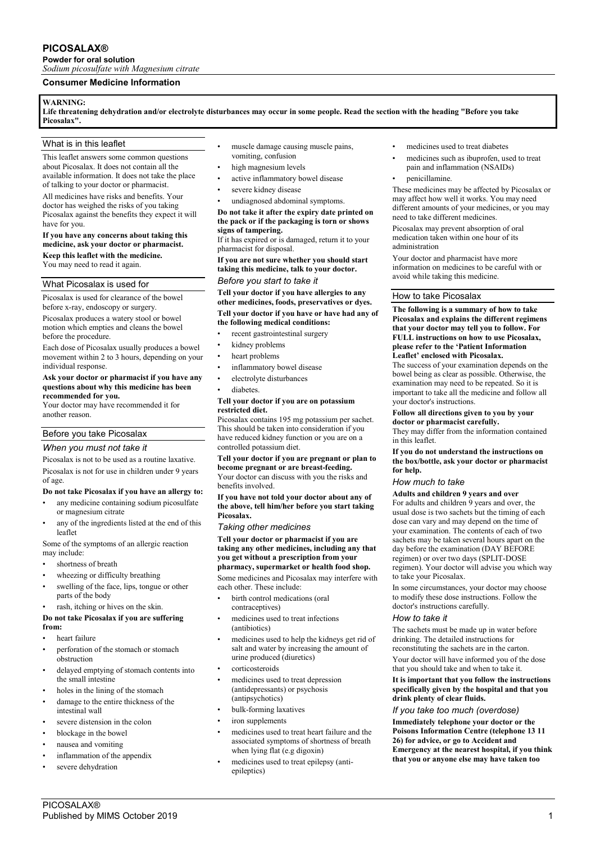# **PICOSALAX®**

**Powder for oral solution** *Sodium picosulfate with Magnesium citrate*

# **Consumer Medicine Information**

## **WARNING:**

**Life threatening dehydration and/or electrolyte disturbances may occur in some people. Read the section with the heading "Before you take Picosalax".**

## What is in this leaflet

This leaflet answers some common questions about Picosalax. It does not contain all the available information. It does not take the place of talking to your doctor or pharmacist.

All medicines have risks and benefits. Your doctor has weighed the risks of you taking Picosalax against the benefits they expect it will have for you.

# **If you have any concerns about taking this medicine, ask your doctor or pharmacist. Keep this leaflet with the medicine.**

You may need to read it again.

# What Picosalax is used for

Picosalax is used for clearance of the bowel before x-ray, endoscopy or surgery.

Picosalax produces a watery stool or bowel motion which empties and cleans the bowel before the procedure.

Each dose of Picosalax usually produces a bowel movement within 2 to 3 hours, depending on your individual response.

#### **Ask your doctor or pharmacist if you have any questions about why this medicine has been recommended for you.**

Your doctor may have recommended it for another reason.

# Before you take Picosalax

## *When you must not take it*

Picosalax is not to be used as a routine laxative. Picosalax is not for use in children under 9 years of age.

## **Do not take Picosalax if you have an allergy to:**

- any medicine containing sodium picosulfate or magnesium citrate
- any of the ingredients listed at the end of this leaflet

Some of the symptoms of an allergic reaction may include:

- shortness of breath
- wheezing or difficulty breathing
- swelling of the face, lips, tongue or other parts of the body
- rash, itching or hives on the skin.

## **Do not take Picosalax if you are suffering from:**

- heart failure
- perforation of the stomach or stomach obstruction
- delayed emptying of stomach contents into the small intestine
- holes in the lining of the stomach
- damage to the entire thickness of the intestinal wall
- severe distension in the colon
- blockage in the bowel
- nausea and vomiting
- inflammation of the appendix severe dehydration
- muscle damage causing muscle pains. vomiting, confusion
- high magnesium levels
- active inflammatory bowel disease
- severe kidney disease
- undiagnosed abdominal symptoms.

**Do not take it after the expiry date printed on the pack or if the packaging is torn or shows signs of tampering.**

If it has expired or is damaged, return it to your pharmacist for disposal.

**If you are not sure whether you should start taking this medicine, talk to your doctor.**

# *Before you start to take it*

**Tell your doctor if you have allergies to any other medicines, foods, preservatives or dyes. Tell your doctor if you have or have had any of the following medical conditions:**

- recent gastrointestinal surgery
- kidney problems
- heart problems
- inflammatory bowel disease
- electrolyte disturbances
- diabetes.

## **Tell your doctor if you are on potassium restricted diet.**

Picosalax contains 195 mg potassium per sachet. This should be taken into consideration if you have reduced kidney function or you are on a controlled potassium diet.

**Tell your doctor if you are pregnant or plan to become pregnant or are breast-feeding.** Your doctor can discuss with you the risks and benefits involved.

**If you have not told your doctor about any of the above, tell him/her before you start taking Picosalax.**

*Taking other medicines*

#### **Tell your doctor or pharmacist if you are taking any other medicines, including any that you get without a prescription from your pharmacy, supermarket or health food shop.**

Some medicines and Picosalax may interfere with each other. These include:

- birth control medications (oral contraceptives)
- medicines used to treat infections (antibiotics)
- medicines used to help the kidneys get rid of salt and water by increasing the amount of urine produced (diuretics)
- **corticosteroids**
- medicines used to treat depression (antidepressants) or psychosis (antipsychotics)
- bulk-forming laxatives
- iron supplements
- medicines used to treat heart failure and the associated symptoms of shortness of breath when lying flat (e.g digoxin)
- medicines used to treat epilepsy (antiepileptics)
- medicines used to treat diabetes
- medicines such as ibuprofen, used to treat pain and inflammation (NSAIDs)
- penicillamine.

These medicines may be affected by Picosalax or may affect how well it works. You may need different amounts of your medicines, or you may need to take different medicines.

Picosalax may prevent absorption of oral medication taken within one hour of its administration

Your doctor and pharmacist have more information on medicines to be careful with or avoid while taking this medicine.

## How to take Picosalax

#### **The following is a summary of how to take Picosalax and explains the different regimens that your doctor may tell you to follow. For FULL instructions on how to use Picosalax, please refer to the 'Patient Information Leaflet' enclosed with Picosalax.**

The success of your examination depends on the bowel being as clear as possible. Otherwise, the examination may need to be repeated. So it is important to take all the medicine and follow all your doctor's instructions.

#### **Follow all directions given to you by your doctor or pharmacist carefully.**

They may differ from the information contained in this leaflet.

#### **If you do not understand the instructions on the box/bottle, ask your doctor or pharmacist for help.**

# *How much to take*

# **Adults and children 9 years and over**

For adults and children 9 years and over, the usual dose is two sachets but the timing of each dose can vary and may depend on the time of your examination. The contents of each of two sachets may be taken several hours apart on the day before the examination (DAY BEFORE regimen) or over two days (SPLIT-DOSE regimen). Your doctor will advise you which way to take your Picosalax.

In some circumstances, your doctor may choose to modify these dose instructions. Follow the doctor's instructions carefully.

## *How to take it*

The sachets must be made up in water before drinking. The detailed instructions for reconstituting the sachets are in the carton.

Your doctor will have informed you of the dose that you should take and when to take it.

### **It is important that you follow the instructions specifically given by the hospital and that you drink plenty of clear fluids.**

## *If you take too much (overdose)*

**Immediately telephone your doctor or the Poisons Information Centre (telephone 13 11 26) for advice, or go to Accident and Emergency at the nearest hospital, if you think that you or anyone else may have taken too**